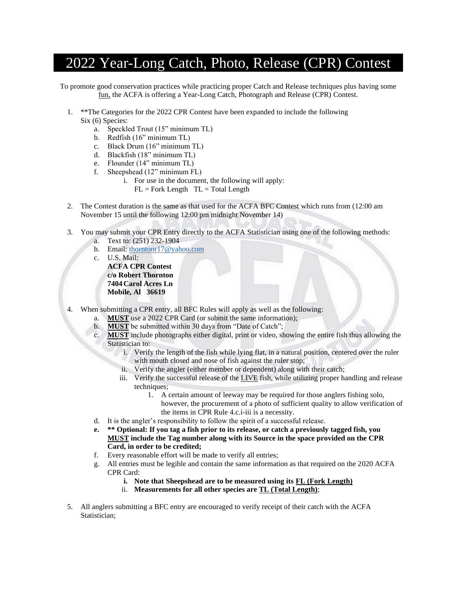## 2022 Year-Long Catch, Photo, Release (CPR) Contest

To promote good conservation practices while practicing proper Catch and Release techniques plus having some fun, the ACFA is offering a Year-Long Catch, Photograph and Release (CPR) Contest.

- 1. \*\*The Categories for the 2022 CPR Contest have been expanded to include the following Six (6) Species:
	- a. Speckled Trout (15" minimum TL)
	- b. Redfish (16" minimum TL)
	- c. Black Drum (16" minimum TL)
	- d. Blackfish (18" minimum TL)
	- e. Flounder (14" minimum TL)
	- f. Sheepshead (12" minimum FL)
		- i. For use in the document, the following will apply:
			- $FL = Fork Length  $TL = Total Length$$
- 2. The Contest duration is the same as that used for the ACFA BFC Contest which runs from (12:00 am November 15 until the following 12:00 pm midnight November 14)
- 3. You may submit your CPR Entry directly to the ACFA Statistician using one of the following methods:
	- a. Text to: (251) 232-1904
	- b. Email: [thorntonr17@yahoo.com](mailto:thorntonr17@yahoo.com)
	- c. U.S. Mail:

**ACFA CPR Contest c/o Robert Thornton 7404 Carol Acres Ln Mobile, Al 36619**

- When submitting a CPR entry, all BFC Rules will apply as well as the following:
	- a. **MUST** use a 2022 CPR Card (or submit the same information);
	- b. **MUST** be submitted within 30 days from "Date of Catch";
	- c. **MUST** include photographs either digital, print or video, showing the entire fish thus allowing the Statistician to:
		- i. Verify the length of the fish while lying flat, in a natural position, centered over the ruler with mouth closed and nose of fish against the ruler stop;
		- ii. Verify the angler (either member or dependent) along with their catch;
		- iii. Verify the successful release of the **LIVE** fish, while utilizing proper handling and release techniques;
			- 1. A certain amount of leeway may be required for those anglers fishing solo, however, the procurement of a photo of sufficient quality to allow verification of the items in CPR Rule 4.c.i-iii is a necessity.
	- d. It is the angler's responsibility to follow the spirit of a successful release.
	- **e. \*\* Optional: If you tag a fish prior to its release, or catch a previously tagged fish, you MUST include the Tag number along with its Source in the space provided on the CPR Card, in order to be credited;**
	- f. Every reasonable effort will be made to verify all entries;
	- g. All entries must be legible and contain the same information as that required on the 2020 ACFA CPR Card:
		- **i. Note that Sheepshead are to be measured using its FL (Fork Length)**
		- ii. **Measurements for all other species are TL (Total Length)**;
- 5. All anglers submitting a BFC entry are encouraged to verify receipt of their catch with the ACFA Statistician;